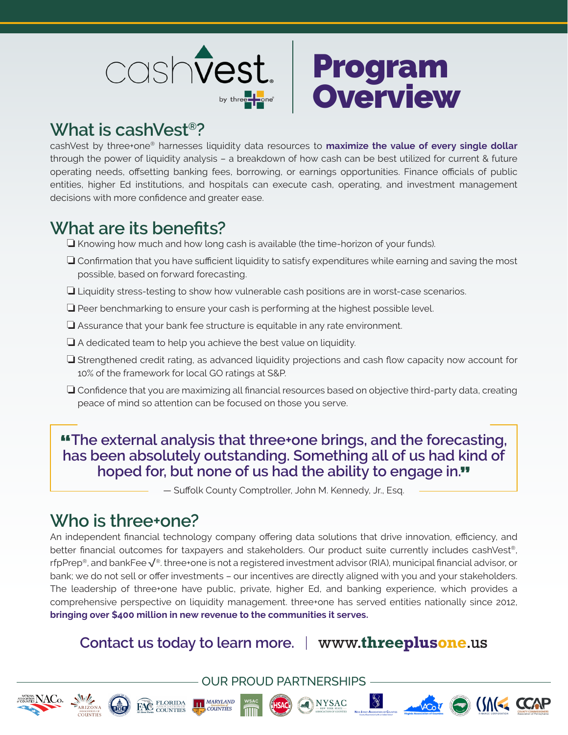



## **What is cashVest®?**

cashVest by three+one® harnesses liquidity data resources to **maximize the value of every single dollar** through the power of liquidity analysis – a breakdown of how cash can be best utilized for current & future operating needs, offsetting banking fees, borrowing, or earnings opportunities. Finance officials of public entities, higher Ed institutions, and hospitals can execute cash, operating, and investment management decisions with more confidence and greater ease.

## **What are its benefits?**

 $\Box$  Knowing how much and how long cash is available (the time-horizon of your funds).

- $\Box$  Confirmation that you have sufficient liquidity to satisfy expenditures while earning and saving the most possible, based on forward forecasting.
- $\Box$  Liquidity stress-testing to show how vulnerable cash positions are in worst-case scenarios.
- $\Box$  Peer benchmarking to ensure your cash is performing at the highest possible level.
- $\Box$  Assurance that your bank fee structure is equitable in any rate environment.
- $\Box$  A dedicated team to help you achieve the best value on liquidity.
- $\Box$  Strengthened credit rating, as advanced liquidity projections and cash flow capacity now account for 10% of the framework for local GO ratings at S&P.
- $\Box$  Confidence that you are maximizing all financial resources based on objective third-party data, creating peace of mind so attention can be focused on those you serve.

"**The external analysis that three+one brings, and the forecasting, has been absolutely outstanding. Something all of us had kind of hoped for, but none of us had the ability to engage in.**"

— Suffolk County Comptroller, John M. Kennedy, Jr., Esq.

## **Who is three+one?**

An independent financial technology company offering data solutions that drive innovation, efficiency, and better financial outcomes for taxpayers and stakeholders. Our product suite currently includes cashVest®, rfpPrep®, and bankFee√®. three+one is not a registered investment advisor (RIA), municipal financial advisor, or bank; we do not sell or offer investments – our incentives are directly aligned with you and your stakeholders. The leadership of three+one have public, private, higher Ed, and banking experience, which provides a comprehensive perspective on liquidity management. three+one has served entities nationally since 2012, **bringing over \$400 million in new revenue to the communities it serves.**

## **Contact us today to learn more.** |www.**threeplusone**.us

OUR PROUD PARTNERSHIPS